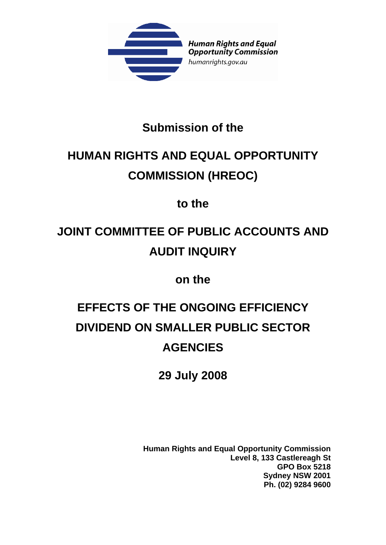

### **Submission of the**

## **HUMAN RIGHTS AND EQUAL OPPORTUNITY COMMISSION (HREOC)**

**to the** 

# **JOINT COMMITTEE OF PUBLIC ACCOUNTS AND AUDIT INQUIRY**

**on the** 

# **EFFECTS OF THE ONGOING EFFICIENCY DIVIDEND ON SMALLER PUBLIC SECTOR AGENCIES**

**29 July 2008** 

**Human Rights and Equal Opportunity Commission Level 8, 133 Castlereagh St GPO Box 5218 Sydney NSW 2001 Ph. (02) 9284 9600**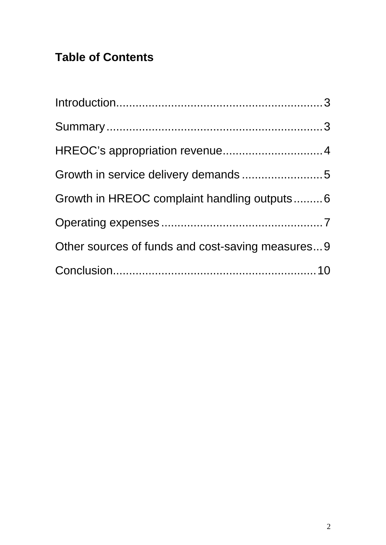## **Table of Contents**

| Growth in HREOC complaint handling outputs6      |  |
|--------------------------------------------------|--|
|                                                  |  |
| Other sources of funds and cost-saving measures9 |  |
|                                                  |  |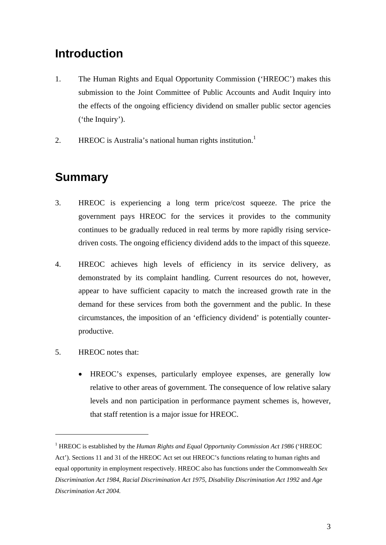### **Introduction**

- 1. The Human Rights and Equal Opportunity Commission ('HREOC') makes this submission to the Joint Committee of Public Accounts and Audit Inquiry into the effects of the ongoing efficiency dividend on smaller public sector agencies ('the Inquiry').
- 2. HREOC is Australia's national human rights institution.<sup>1</sup>

### **Summary**

- 3. HREOC is experiencing a long term price/cost squeeze. The price the government pays HREOC for the services it provides to the community continues to be gradually reduced in real terms by more rapidly rising servicedriven costs. The ongoing efficiency dividend adds to the impact of this squeeze.
- 4. HREOC achieves high levels of efficiency in its service delivery, as demonstrated by its complaint handling. Current resources do not, however, appear to have sufficient capacity to match the increased growth rate in the demand for these services from both the government and the public. In these circumstances, the imposition of an 'efficiency dividend' is potentially counterproductive.
- 5. HREOC notes that:

<u>.</u>

• HREOC's expenses, particularly employee expenses, are generally low relative to other areas of government. The consequence of low relative salary levels and non participation in performance payment schemes is, however, that staff retention is a major issue for HREOC.

<sup>&</sup>lt;sup>1</sup> HREOC is established by the *Human Rights and Equal Opportunity Commission Act 1986* ('HREOC Act'). Sections 11 and 31 of the HREOC Act set out HREOC's functions relating to human rights and equal opportunity in employment respectively. HREOC also has functions under the Commonwealth *Sex Discrimination Act 1984, Racial Discrimination Act 1975, Disability Discrimination Act 1992* and *Age Discrimination Act 2004.*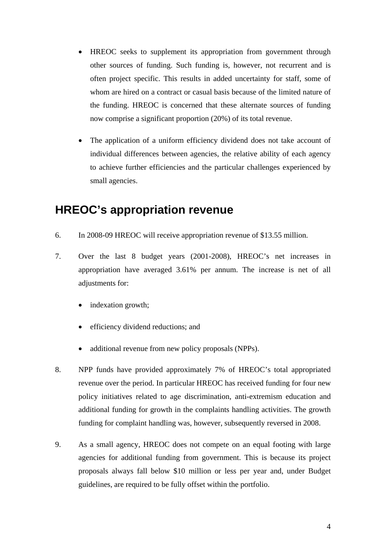- HREOC seeks to supplement its appropriation from government through other sources of funding. Such funding is, however, not recurrent and is often project specific. This results in added uncertainty for staff, some of whom are hired on a contract or casual basis because of the limited nature of the funding. HREOC is concerned that these alternate sources of funding now comprise a significant proportion (20%) of its total revenue.
- The application of a uniform efficiency dividend does not take account of individual differences between agencies, the relative ability of each agency to achieve further efficiencies and the particular challenges experienced by small agencies.

#### **HREOC's appropriation revenue**

- 6. In 2008-09 HREOC will receive appropriation revenue of \$13.55 million.
- 7. Over the last 8 budget years (2001-2008), HREOC's net increases in appropriation have averaged 3.61% per annum. The increase is net of all adjustments for:
	- indexation growth;
	- efficiency dividend reductions; and
	- additional revenue from new policy proposals (NPPs).
- 8. NPP funds have provided approximately 7% of HREOC's total appropriated revenue over the period. In particular HREOC has received funding for four new policy initiatives related to age discrimination, anti-extremism education and additional funding for growth in the complaints handling activities. The growth funding for complaint handling was, however, subsequently reversed in 2008.
- 9. As a small agency, HREOC does not compete on an equal footing with large agencies for additional funding from government. This is because its project proposals always fall below \$10 million or less per year and, under Budget guidelines, are required to be fully offset within the portfolio.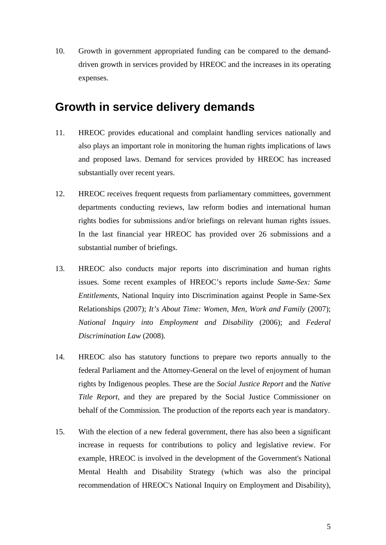10. Growth in government appropriated funding can be compared to the demanddriven growth in services provided by HREOC and the increases in its operating expenses.

#### **Growth in service delivery demands**

- 11. HREOC provides educational and complaint handling services nationally and also plays an important role in monitoring the human rights implications of laws and proposed laws. Demand for services provided by HREOC has increased substantially over recent years.
- 12. HREOC receives frequent requests from parliamentary committees, government departments conducting reviews, law reform bodies and international human rights bodies for submissions and/or briefings on relevant human rights issues. In the last financial year HREOC has provided over 26 submissions and a substantial number of briefings.
- 13. HREOC also conducts major reports into discrimination and human rights issues. Some recent examples of HREOC's reports include *Same-Sex: Same Entitlements*, National Inquiry into Discrimination against People in Same-Sex Relationships (2007); *It's About Time: Women, Men, Work and Family* (2007); *National Inquiry into Employment and Disability* (2006); and *Federal Discrimination Law* (2008).
- 14. HREOC also has statutory functions to prepare two reports annually to the federal Parliament and the Attorney-General on the level of enjoyment of human rights by Indigenous peoples. These are the *Social Justice Report* and the *Native Title Report,* and they are prepared by the Social Justice Commissioner on behalf of the Commission*.* The production of the reports each year is mandatory.
- 15. With the election of a new federal government, there has also been a significant increase in requests for contributions to policy and legislative review. For example, HREOC is involved in the development of the Government's National Mental Health and Disability Strategy (which was also the principal recommendation of HREOC's National Inquiry on Employment and Disability),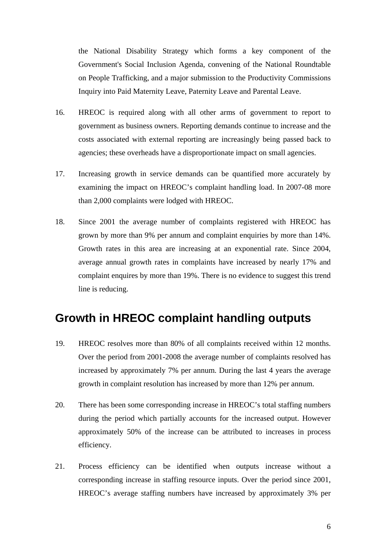the National Disability Strategy which forms a key component of the Government's Social Inclusion Agenda, convening of the National Roundtable on People Trafficking, and a major submission to the Productivity Commissions Inquiry into Paid Maternity Leave, Paternity Leave and Parental Leave.

- 16. HREOC is required along with all other arms of government to report to government as business owners. Reporting demands continue to increase and the costs associated with external reporting are increasingly being passed back to agencies; these overheads have a disproportionate impact on small agencies.
- 17. Increasing growth in service demands can be quantified more accurately by examining the impact on HREOC's complaint handling load. In 2007-08 more than 2,000 complaints were lodged with HREOC.
- 18. Since 2001 the average number of complaints registered with HREOC has grown by more than 9% per annum and complaint enquiries by more than 14%. Growth rates in this area are increasing at an exponential rate. Since 2004, average annual growth rates in complaints have increased by nearly 17% and complaint enquires by more than 19%. There is no evidence to suggest this trend line is reducing.

### **Growth in HREOC complaint handling outputs**

- 19. HREOC resolves more than 80% of all complaints received within 12 months. Over the period from 2001-2008 the average number of complaints resolved has increased by approximately 7% per annum. During the last 4 years the average growth in complaint resolution has increased by more than 12% per annum.
- 20. There has been some corresponding increase in HREOC's total staffing numbers during the period which partially accounts for the increased output. However approximately 50% of the increase can be attributed to increases in process efficiency.
- 21. Process efficiency can be identified when outputs increase without a corresponding increase in staffing resource inputs. Over the period since 2001, HREOC's average staffing numbers have increased by approximately 3% per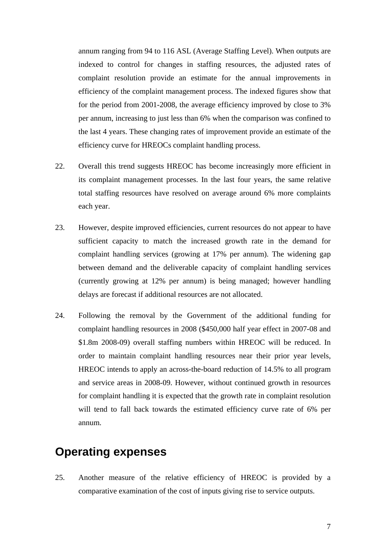annum ranging from 94 to 116 ASL (Average Staffing Level). When outputs are indexed to control for changes in staffing resources, the adjusted rates of complaint resolution provide an estimate for the annual improvements in efficiency of the complaint management process. The indexed figures show that for the period from 2001-2008, the average efficiency improved by close to 3% per annum, increasing to just less than 6% when the comparison was confined to the last 4 years. These changing rates of improvement provide an estimate of the efficiency curve for HREOCs complaint handling process.

- 22. Overall this trend suggests HREOC has become increasingly more efficient in its complaint management processes. In the last four years, the same relative total staffing resources have resolved on average around 6% more complaints each year.
- 23. However, despite improved efficiencies, current resources do not appear to have sufficient capacity to match the increased growth rate in the demand for complaint handling services (growing at 17% per annum). The widening gap between demand and the deliverable capacity of complaint handling services (currently growing at 12% per annum) is being managed; however handling delays are forecast if additional resources are not allocated.
- 24. Following the removal by the Government of the additional funding for complaint handling resources in 2008 (\$450,000 half year effect in 2007-08 and \$1.8m 2008-09) overall staffing numbers within HREOC will be reduced. In order to maintain complaint handling resources near their prior year levels, HREOC intends to apply an across-the-board reduction of 14.5% to all program and service areas in 2008-09. However, without continued growth in resources for complaint handling it is expected that the growth rate in complaint resolution will tend to fall back towards the estimated efficiency curve rate of 6% per annum.

#### **Operating expenses**

25. Another measure of the relative efficiency of HREOC is provided by a comparative examination of the cost of inputs giving rise to service outputs.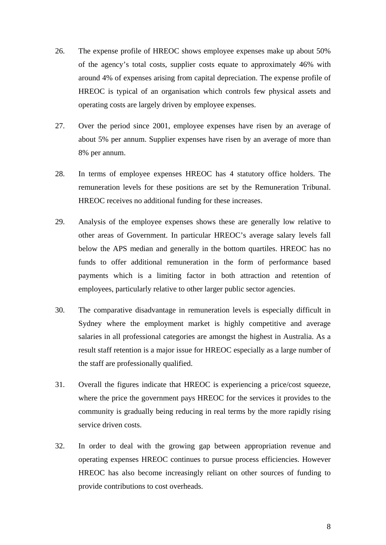- 26. The expense profile of HREOC shows employee expenses make up about 50% of the agency's total costs, supplier costs equate to approximately 46% with around 4% of expenses arising from capital depreciation. The expense profile of HREOC is typical of an organisation which controls few physical assets and operating costs are largely driven by employee expenses.
- 27. Over the period since 2001, employee expenses have risen by an average of about 5% per annum. Supplier expenses have risen by an average of more than 8% per annum.
- 28. In terms of employee expenses HREOC has 4 statutory office holders. The remuneration levels for these positions are set by the Remuneration Tribunal. HREOC receives no additional funding for these increases.
- 29. Analysis of the employee expenses shows these are generally low relative to other areas of Government. In particular HREOC's average salary levels fall below the APS median and generally in the bottom quartiles. HREOC has no funds to offer additional remuneration in the form of performance based payments which is a limiting factor in both attraction and retention of employees, particularly relative to other larger public sector agencies.
- 30. The comparative disadvantage in remuneration levels is especially difficult in Sydney where the employment market is highly competitive and average salaries in all professional categories are amongst the highest in Australia. As a result staff retention is a major issue for HREOC especially as a large number of the staff are professionally qualified.
- 31. Overall the figures indicate that HREOC is experiencing a price/cost squeeze, where the price the government pays HREOC for the services it provides to the community is gradually being reducing in real terms by the more rapidly rising service driven costs.
- 32. In order to deal with the growing gap between appropriation revenue and operating expenses HREOC continues to pursue process efficiencies. However HREOC has also become increasingly reliant on other sources of funding to provide contributions to cost overheads.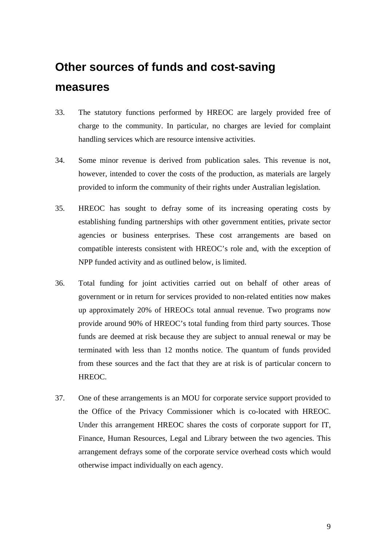## **Other sources of funds and cost-saving measures**

- 33. The statutory functions performed by HREOC are largely provided free of charge to the community. In particular, no charges are levied for complaint handling services which are resource intensive activities.
- 34. Some minor revenue is derived from publication sales. This revenue is not, however, intended to cover the costs of the production, as materials are largely provided to inform the community of their rights under Australian legislation.
- 35. HREOC has sought to defray some of its increasing operating costs by establishing funding partnerships with other government entities, private sector agencies or business enterprises. These cost arrangements are based on compatible interests consistent with HREOC's role and, with the exception of NPP funded activity and as outlined below, is limited.
- 36. Total funding for joint activities carried out on behalf of other areas of government or in return for services provided to non-related entities now makes up approximately 20% of HREOCs total annual revenue. Two programs now provide around 90% of HREOC's total funding from third party sources. Those funds are deemed at risk because they are subject to annual renewal or may be terminated with less than 12 months notice. The quantum of funds provided from these sources and the fact that they are at risk is of particular concern to HREOC.
- 37. One of these arrangements is an MOU for corporate service support provided to the Office of the Privacy Commissioner which is co-located with HREOC. Under this arrangement HREOC shares the costs of corporate support for IT, Finance, Human Resources, Legal and Library between the two agencies. This arrangement defrays some of the corporate service overhead costs which would otherwise impact individually on each agency.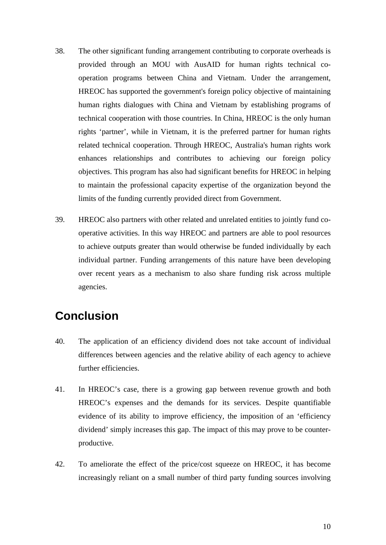- 38. The other significant funding arrangement contributing to corporate overheads is provided through an MOU with AusAID for human rights technical cooperation programs between China and Vietnam. Under the arrangement, HREOC has supported the government's foreign policy objective of maintaining human rights dialogues with China and Vietnam by establishing programs of technical cooperation with those countries. In China, HREOC is the only human rights 'partner', while in Vietnam, it is the preferred partner for human rights related technical cooperation. Through HREOC, Australia's human rights work enhances relationships and contributes to achieving our foreign policy objectives. This program has also had significant benefits for HREOC in helping to maintain the professional capacity expertise of the organization beyond the limits of the funding currently provided direct from Government.
- 39. HREOC also partners with other related and unrelated entities to jointly fund cooperative activities. In this way HREOC and partners are able to pool resources to achieve outputs greater than would otherwise be funded individually by each individual partner. Funding arrangements of this nature have been developing over recent years as a mechanism to also share funding risk across multiple agencies.

### **Conclusion**

- 40. The application of an efficiency dividend does not take account of individual differences between agencies and the relative ability of each agency to achieve further efficiencies.
- 41. In HREOC's case, there is a growing gap between revenue growth and both HREOC's expenses and the demands for its services. Despite quantifiable evidence of its ability to improve efficiency, the imposition of an 'efficiency dividend' simply increases this gap. The impact of this may prove to be counterproductive.
- 42. To ameliorate the effect of the price/cost squeeze on HREOC, it has become increasingly reliant on a small number of third party funding sources involving